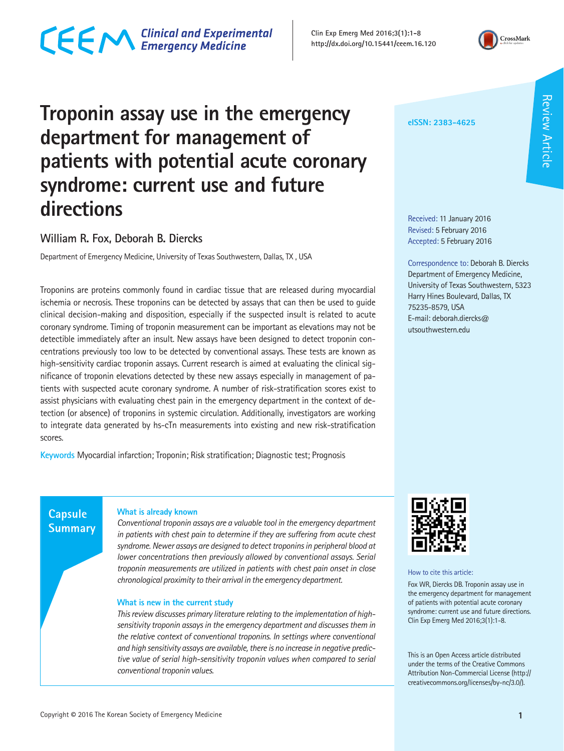## CECM Clinical and Experimental

**Clin Exp Emerg Med 2016;3(1):1-8 http://dx.doi.org/10.15441/ceem.16.120**



### **Troponin assay use in the emergency department for management of patients with potential acute coronary syndrome: current use and future directions**

#### **William R. Fox, Deborah B. Diercks**

Department of Emergency Medicine, University of Texas Southwestern, Dallas, TX , USA

Troponins are proteins commonly found in cardiac tissue that are released during myocardial ischemia or necrosis. These troponins can be detected by assays that can then be used to guide clinical decision-making and disposition, especially if the suspected insult is related to acute coronary syndrome. Timing of troponin measurement can be important as elevations may not be detectible immediately after an insult. New assays have been designed to detect troponin concentrations previously too low to be detected by conventional assays. These tests are known as high-sensitivity cardiac troponin assays. Current research is aimed at evaluating the clinical significance of troponin elevations detected by these new assays especially in management of patients with suspected acute coronary syndrome. A number of risk-stratification scores exist to assist physicians with evaluating chest pain in the emergency department in the context of detection (or absence) of troponins in systemic circulation. Additionally, investigators are working to integrate data generated by hs-cTn measurements into existing and new risk-stratification scores.

**Keywords** Myocardial infarction; Troponin; Risk stratification; Diagnostic test; Prognosis

**eISSN: 2383-4625**

Received: 11 January 2016 Revised: 5 February 2016 Accepted: 5 February 2016

Correspondence to: Deborah B. Diercks Department of Emergency Medicine, University of Texas Southwestern, 5323 Harry Hines Boulevard, Dallas, TX 75235-8579, USA E-mail: deborah.diercks@ utsouthwestern.edu

#### **What is already known**

*Conventional troponin assays are a valuable tool in the emergency department in patients with chest pain to determine if they are suffering from acute chest syndrome. Newer assays are designed to detect troponins in peripheral blood at lower concentrations then previously allowed by conventional assays. Serial troponin measurements are utilized in patients with chest pain onset in close chronological proximity to their arrival in the emergency department.*

#### **What is new in the current study**

*This review discusses primary literature relating to the implementation of highsensitivity troponin assays in the emergency department and discusses them in the relative context of conventional troponins. In settings where conventional and high sensitivity assays are available, there is no increase in negative predictive value of serial high-sensitivity troponin values when compared to serial conventional troponin values.*



How to cite this article:

Fox WR, Diercks DB. Troponin assay use in the emergency department for management of patients with potential acute coronary syndrome: current use and future directions. Clin Exp Emerg Med 2016;3(1):1-8.

This is an Open Access article distributed under the terms of the Creative Commons Attribution Non-Commercial License (http:// creativecommons.org/licenses/by-nc/3.0/).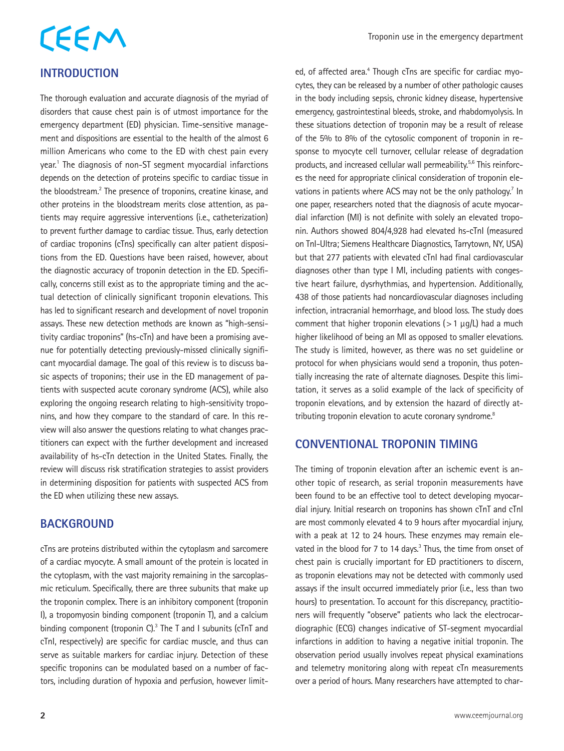### CEEM **INTRODUCTION**

The thorough evaluation and accurate diagnosis of the myriad of disorders that cause chest pain is of utmost importance for the emergency department (ED) physician. Time-sensitive management and dispositions are essential to the health of the almost 6 million Americans who come to the ED with chest pain every year.<sup>1</sup> The diagnosis of non-ST segment myocardial infarctions depends on the detection of proteins specific to cardiac tissue in the bloodstream.<sup>2</sup> The presence of troponins, creatine kinase, and other proteins in the bloodstream merits close attention, as patients may require aggressive interventions (i.e., catheterization) to prevent further damage to cardiac tissue. Thus, early detection of cardiac troponins (cTns) specifically can alter patient dispositions from the ED. Questions have been raised, however, about the diagnostic accuracy of troponin detection in the ED. Specifically, concerns still exist as to the appropriate timing and the actual detection of clinically significant troponin elevations. This has led to significant research and development of novel troponin assays. These new detection methods are known as "high-sensitivity cardiac troponins" (hs-cTn) and have been a promising avenue for potentially detecting previously-missed clinically significant myocardial damage. The goal of this review is to discuss basic aspects of troponins; their use in the ED management of patients with suspected acute coronary syndrome (ACS), while also exploring the ongoing research relating to high-sensitivity troponins, and how they compare to the standard of care. In this review will also answer the questions relating to what changes practitioners can expect with the further development and increased availability of hs-cTn detection in the United States. Finally, the review will discuss risk stratification strategies to assist providers in determining disposition for patients with suspected ACS from the ED when utilizing these new assays.

#### **BACKGROUND**

cTns are proteins distributed within the cytoplasm and sarcomere of a cardiac myocyte. A small amount of the protein is located in the cytoplasm, with the vast majority remaining in the sarcoplasmic reticulum. Specifically, there are three subunits that make up the troponin complex. There is an inhibitory component (troponin I), a tropomyosin binding component (troponin T), and a calcium binding component (troponin C). $3$  The T and I subunits (cTnT and cTnI, respectively) are specific for cardiac muscle, and thus can serve as suitable markers for cardiac injury. Detection of these specific troponins can be modulated based on a number of factors, including duration of hypoxia and perfusion, however limit-

ed, of affected area.<sup>4</sup> Though cTns are specific for cardiac myocytes, they can be released by a number of other pathologic causes in the body including sepsis, chronic kidney disease, hypertensive emergency, gastrointestinal bleeds, stroke, and rhabdomyolysis. In these situations detection of troponin may be a result of release of the 5% to 8% of the cytosolic component of troponin in response to myocyte cell turnover, cellular release of degradation products, and increased cellular wall permeability.<sup>5,6</sup> This reinforces the need for appropriate clinical consideration of troponin elevations in patients where ACS may not be the only pathology.<sup>7</sup> In one paper, researchers noted that the diagnosis of acute myocardial infarction (MI) is not definite with solely an elevated troponin. Authors showed 804/4,928 had elevated hs-cTnI (measured on TnI-Ultra; Siemens Healthcare Diagnostics, Tarrytown, NY, USA) but that 277 patients with elevated cTnI had final cardiovascular diagnoses other than type I MI, including patients with congestive heart failure, dysrhythmias, and hypertension. Additionally, 438 of those patients had noncardiovascular diagnoses including infection, intracranial hemorrhage, and blood loss. The study does comment that higher troponin elevations ( $>1 \mu q/L$ ) had a much higher likelihood of being an MI as opposed to smaller elevations. The study is limited, however, as there was no set guideline or protocol for when physicians would send a troponin, thus potentially increasing the rate of alternate diagnoses. Despite this limitation, it serves as a solid example of the lack of specificity of troponin elevations, and by extension the hazard of directly attributing troponin elevation to acute coronary syndrome.<sup>8</sup>

#### **CONVENTIONAL TROPONIN TIMING**

The timing of troponin elevation after an ischemic event is another topic of research, as serial troponin measurements have been found to be an effective tool to detect developing myocardial injury. Initial research on troponins has shown cTnT and cTnI are most commonly elevated 4 to 9 hours after myocardial injury, with a peak at 12 to 24 hours. These enzymes may remain elevated in the blood for 7 to 14 days.<sup>3</sup> Thus, the time from onset of chest pain is crucially important for ED practitioners to discern, as troponin elevations may not be detected with commonly used assays if the insult occurred immediately prior (i.e., less than two hours) to presentation. To account for this discrepancy, practitioners will frequently "observe" patients who lack the electrocardiographic (ECG) changes indicative of ST-segment myocardial infarctions in addition to having a negative initial troponin. The observation period usually involves repeat physical examinations and telemetry monitoring along with repeat cTn measurements over a period of hours. Many researchers have attempted to char-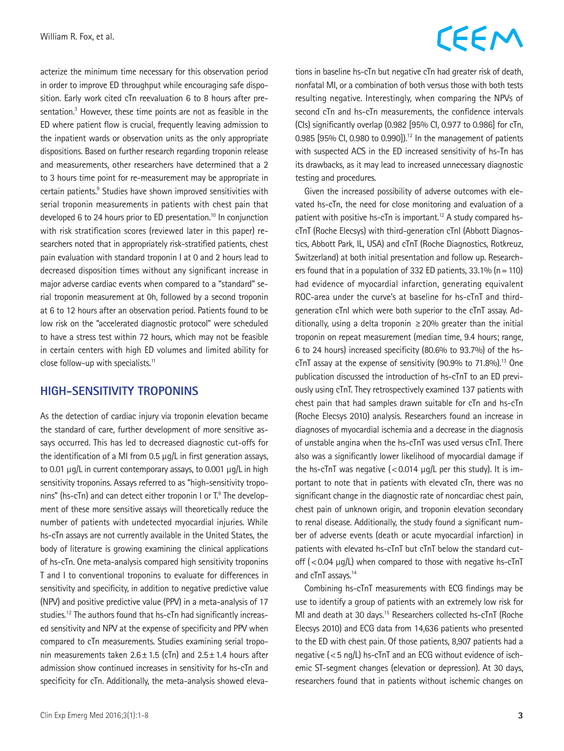acterize the minimum time necessary for this observation period in order to improve ED throughput while encouraging safe disposition. Early work cited cTn reevaluation 6 to 8 hours after presentation.<sup>3</sup> However, these time points are not as feasible in the ED where patient flow is crucial, frequently leaving admission to the inpatient wards or observation units as the only appropriate dispositions. Based on further research regarding troponin release and measurements, other researchers have determined that a 2 to 3 hours time point for re-measurement may be appropriate in certain patients.<sup>9</sup> Studies have shown improved sensitivities with serial troponin measurements in patients with chest pain that developed 6 to 24 hours prior to ED presentation.<sup>10</sup> In conjunction with risk stratification scores (reviewed later in this paper) researchers noted that in appropriately risk-stratified patients, chest pain evaluation with standard troponin I at 0 and 2 hours lead to decreased disposition times without any significant increase in major adverse cardiac events when compared to a "standard" serial troponin measurement at 0h, followed by a second troponin at 6 to 12 hours after an observation period. Patients found to be low risk on the "accelerated diagnostic protocol" were scheduled to have a stress test within 72 hours, which may not be feasible in certain centers with high ED volumes and limited ability for close follow-up with specialists.<sup>11</sup>

#### **HIGH-SENSITIVITY TROPONINS**

As the detection of cardiac injury via troponin elevation became the standard of care, further development of more sensitive assays occurred. This has led to decreased diagnostic cut-offs for the identification of a MI from 0.5 μg/L in first generation assays, to 0.01 μg/L in current contemporary assays, to 0.001 μg/L in high sensitivity troponins. Assays referred to as "high-sensitivity troponins" (hs-cTn) and can detect either troponin I or T.<sup>9</sup> The development of these more sensitive assays will theoretically reduce the number of patients with undetected myocardial injuries. While hs-cTn assays are not currently available in the United States, the body of literature is growing examining the clinical applications of hs-cTn. One meta-analysis compared high sensitivity troponins T and I to conventional troponins to evaluate for differences in sensitivity and specificity, in addition to negative predictive value (NPV) and positive predictive value (PPV) in a meta-analysis of 17 studies.<sup>12</sup> The authors found that hs-cTn had significantly increased sensitivity and NPV at the expense of specificity and PPV when compared to cTn measurements. Studies examining serial troponin measurements taken  $2.6 \pm 1.5$  (cTn) and  $2.5 \pm 1.4$  hours after admission show continued increases in sensitivity for hs-cTn and specificity for cTn. Additionally, the meta-analysis showed eleva-

# CEEM

tions in baseline hs-cTn but negative cTn had greater risk of death, nonfatal MI, or a combination of both versus those with both tests resulting negative. Interestingly, when comparing the NPVs of second cTn and hs-cTn measurements, the confidence intervals (CIs) significantly overlap (0.982 [95% CI, 0.977 to 0.986] for cTn, 0.985 [95% CI, 0.980 to 0.990]).<sup>12</sup> In the management of patients with suspected ACS in the ED increased sensitivity of hs-Tn has its drawbacks, as it may lead to increased unnecessary diagnostic testing and procedures.

Given the increased possibility of adverse outcomes with elevated hs-cTn, the need for close monitoring and evaluation of a patient with positive hs-cTn is important.12 A study compared hscTnT (Roche Elecsys) with third-generation cTnI (Abbott Diagnostics, Abbott Park, IL, USA) and cTnT (Roche Diagnostics, Rotkreuz, Switzerland) at both initial presentation and follow up. Researchers found that in a population of 332 ED patients,  $33.1\%$  (n = 110) had evidence of myocardial infarction, generating equivalent ROC-area under the curve's at baseline for hs-cTnT and thirdgeneration cTnI which were both superior to the cTnT assay. Additionally, using a delta troponin  $\geq$  20% greater than the initial troponin on repeat measurement (median time, 9.4 hours; range, 6 to 24 hours) increased specificity (80.6% to 93.7%) of the hs $cTnT$  assay at the expense of sensitivity (90.9% to 71.8%).<sup>13</sup> One publication discussed the introduction of hs-cTnT to an ED previously using cTnT. They retrospectively examined 137 patients with chest pain that had samples drawn suitable for cTn and hs-cTn (Roche Elecsys 2010) analysis. Researchers found an increase in diagnoses of myocardial ischemia and a decrease in the diagnosis of unstable angina when the hs-cTnT was used versus cTnT. There also was a significantly lower likelihood of myocardial damage if the hs-cTnT was negative  $\frac{1}{2}$  (<0.014  $\mu$ g/L per this study). It is important to note that in patients with elevated cTn, there was no significant change in the diagnostic rate of noncardiac chest pain, chest pain of unknown origin, and troponin elevation secondary to renal disease. Additionally, the study found a significant number of adverse events (death or acute myocardial infarction) in patients with elevated hs-cTnT but cTnT below the standard cutoff  $(<$  0.04  $\mu$ g/L) when compared to those with negative hs-cTnT and cTnT assays.<sup>14</sup>

Combining hs-cTnT measurements with ECG findings may be use to identify a group of patients with an extremely low risk for MI and death at 30 days.15 Researchers collected hs-cTnT (Roche Elecsys 2010) and ECG data from 14,636 patients who presented to the ED with chest pain. Of those patients, 8,907 patients had a negative (<5 ng/L) hs-cTnT and an ECG without evidence of ischemic ST-segment changes (elevation or depression). At 30 days, researchers found that in patients without ischemic changes on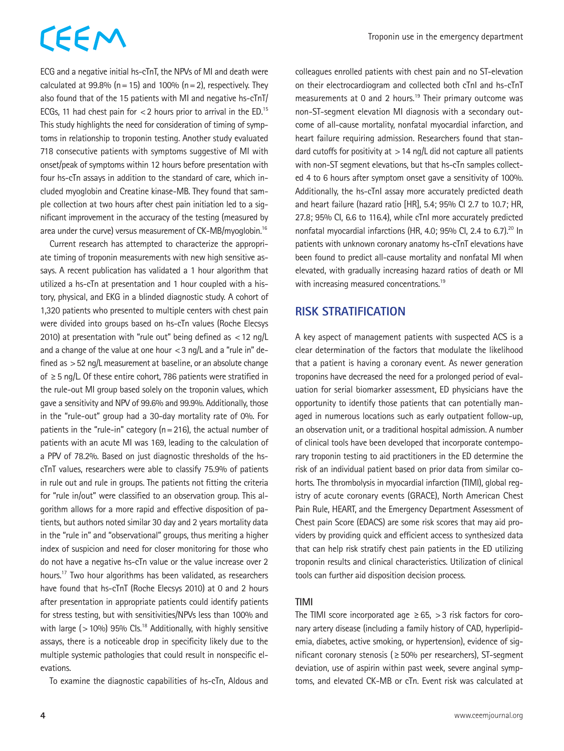ECG and a negative initial hs-cTnT, the NPVs of MI and death were calculated at 99.8% ( $n=15$ ) and 100% ( $n=2$ ), respectively. They also found that of the 15 patients with MI and negative hs-cTnT/ ECGs, 11 had chest pain for  $<$  2 hours prior to arrival in the ED.<sup>15</sup> This study highlights the need for consideration of timing of symptoms in relationship to troponin testing. Another study evaluated 718 consecutive patients with symptoms suggestive of MI with onset/peak of symptoms within 12 hours before presentation with four hs-cTn assays in addition to the standard of care, which included myoglobin and Creatine kinase-MB. They found that sample collection at two hours after chest pain initiation led to a significant improvement in the accuracy of the testing (measured by area under the curve) versus measurement of CK-MB/myoglobin.16

Current research has attempted to characterize the appropriate timing of troponin measurements with new high sensitive assays. A recent publication has validated a 1 hour algorithm that utilized a hs-cTn at presentation and 1 hour coupled with a history, physical, and EKG in a blinded diagnostic study. A cohort of 1,320 patients who presented to multiple centers with chest pain were divided into groups based on hs-cTn values (Roche Elecsys 2010) at presentation with "rule out" being defined as <12 ng/L and a change of the value at one hour  $<$  3 ng/L and a "rule in" defined as >52 ng/L measurement at baseline, or an absolute change of ≥5 ng/L. Of these entire cohort, 786 patients were stratified in the rule-out MI group based solely on the troponin values, which gave a sensitivity and NPV of 99.6% and 99.9%. Additionally, those in the "rule-out" group had a 30-day mortality rate of 0%. For patients in the "rule-in" category ( $n=216$ ), the actual number of patients with an acute MI was 169, leading to the calculation of a PPV of 78.2%. Based on just diagnostic thresholds of the hscTnT values, researchers were able to classify 75.9% of patients in rule out and rule in groups. The patients not fitting the criteria for "rule in/out" were classified to an observation group. This algorithm allows for a more rapid and effective disposition of patients, but authors noted similar 30 day and 2 years mortality data in the "rule in" and "observational" groups, thus meriting a higher index of suspicion and need for closer monitoring for those who do not have a negative hs-cTn value or the value increase over 2 hours.17 Two hour algorithms has been validated, as researchers have found that hs-cTnT (Roche Elecsys 2010) at 0 and 2 hours after presentation in appropriate patients could identify patients for stress testing, but with sensitivities/NPVs less than 100% and with large ( $>10\%$ ) 95% Cls.<sup>18</sup> Additionally, with highly sensitive assays, there is a noticeable drop in specificity likely due to the multiple systemic pathologies that could result in nonspecific elevations.

To examine the diagnostic capabilities of hs-cTn, Aldous and

colleagues enrolled patients with chest pain and no ST-elevation on their electrocardiogram and collected both cTnI and hs-cTnT measurements at 0 and 2 hours.<sup>19</sup> Their primary outcome was non-ST-segment elevation MI diagnosis with a secondary outcome of all-cause mortality, nonfatal myocardial infarction, and heart failure requiring admission. Researchers found that standard cutoffs for positivity at  $>14$  ng/L did not capture all patients with non-ST segment elevations, but that hs-cTn samples collected 4 to 6 hours after symptom onset gave a sensitivity of 100%. Additionally, the hs-cTnI assay more accurately predicted death and heart failure (hazard ratio [HR], 5.4; 95% CI 2.7 to 10.7; HR, 27.8; 95% CI, 6.6 to 116.4), while cTnI more accurately predicted nonfatal myocardial infarctions (HR, 4.0; 95% Cl, 2.4 to 6.7).<sup>20</sup> In patients with unknown coronary anatomy hs-cTnT elevations have been found to predict all-cause mortality and nonfatal MI when elevated, with gradually increasing hazard ratios of death or MI with increasing measured concentrations.<sup>19</sup>

#### **RISK STRATIFICATION**

A key aspect of management patients with suspected ACS is a clear determination of the factors that modulate the likelihood that a patient is having a coronary event. As newer generation troponins have decreased the need for a prolonged period of evaluation for serial biomarker assessment, ED physicians have the opportunity to identify those patients that can potentially managed in numerous locations such as early outpatient follow-up, an observation unit, or a traditional hospital admission. A number of clinical tools have been developed that incorporate contemporary troponin testing to aid practitioners in the ED determine the risk of an individual patient based on prior data from similar cohorts. The thrombolysis in myocardial infarction (TIMI), global registry of acute coronary events (GRACE), North American Chest Pain Rule, HEART, and the Emergency Department Assessment of Chest pain Score (EDACS) are some risk scores that may aid providers by providing quick and efficient access to synthesized data that can help risk stratify chest pain patients in the ED utilizing troponin results and clinical characteristics. Utilization of clinical tools can further aid disposition decision process.

#### **TIMI**

The TIMI score incorporated age  $\geq 65$ ,  $> 3$  risk factors for coronary artery disease (including a family history of CAD, hyperlipidemia, diabetes, active smoking, or hypertension), evidence of significant coronary stenosis (≥50% per researchers), ST-segment deviation, use of aspirin within past week, severe anginal symptoms, and elevated CK-MB or cTn. Event risk was calculated at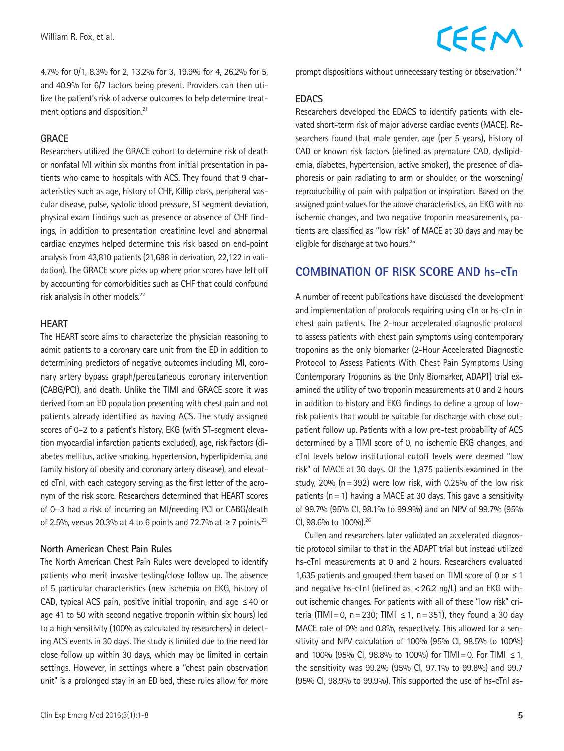4.7% for 0/1, 8.3% for 2, 13.2% for 3, 19.9% for 4, 26.2% for 5, and 40.9% for 6/7 factors being present. Providers can then utilize the patient's risk of adverse outcomes to help determine treatment options and disposition.<sup>21</sup>

#### **GRACE**

Researchers utilized the GRACE cohort to determine risk of death or nonfatal MI within six months from initial presentation in patients who came to hospitals with ACS. They found that 9 characteristics such as age, history of CHF, Killip class, peripheral vascular disease, pulse, systolic blood pressure, ST segment deviation, physical exam findings such as presence or absence of CHF findings, in addition to presentation creatinine level and abnormal cardiac enzymes helped determine this risk based on end-point analysis from 43,810 patients (21,688 in derivation, 22,122 in validation). The GRACE score picks up where prior scores have left off by accounting for comorbidities such as CHF that could confound risk analysis in other models.22

#### **HEART**

The HEART score aims to characterize the physician reasoning to admit patients to a coronary care unit from the ED in addition to determining predictors of negative outcomes including MI, coronary artery bypass graph/percutaneous coronary intervention (CABG/PCI), and death. Unlike the TIMI and GRACE score it was derived from an ED population presenting with chest pain and not patients already identified as having ACS. The study assigned scores of 0–2 to a patient's history, EKG (with ST-segment elevation myocardial infarction patients excluded), age, risk factors (diabetes mellitus, active smoking, hypertension, hyperlipidemia, and family history of obesity and coronary artery disease), and elevated cTnI, with each category serving as the first letter of the acronym of the risk score. Researchers determined that HEART scores of 0−3 had a risk of incurring an MI/needing PCI or CABG/death of 2.5%, versus 20.3% at 4 to 6 points and 72.7% at ≥7 points.<sup>23</sup>

#### **North American Chest Pain Rules**

The North American Chest Pain Rules were developed to identify patients who merit invasive testing/close follow up. The absence of 5 particular characteristics (new ischemia on EKG, history of CAD, typical ACS pain, positive initial troponin, and age  $\leq 40$  or age 41 to 50 with second negative troponin within six hours) led to a high sensitivity (100% as calculated by researchers) in detecting ACS events in 30 days. The study is limited due to the need for close follow up within 30 days, which may be limited in certain settings. However, in settings where a "chest pain observation unit" is a prolonged stay in an ED bed, these rules allow for more

#### **EDACS**

Researchers developed the EDACS to identify patients with elevated short-term risk of major adverse cardiac events (MACE). Researchers found that male gender, age (per 5 years), history of CAD or known risk factors (defined as premature CAD, dyslipidemia, diabetes, hypertension, active smoker), the presence of diaphoresis or pain radiating to arm or shoulder, or the worsening/ reproducibility of pain with palpation or inspiration. Based on the assigned point values for the above characteristics, an EKG with no ischemic changes, and two negative troponin measurements, patients are classified as "low risk" of MACE at 30 days and may be eligible for discharge at two hours.25

#### **COMBINATION OF RISK SCORE AND hs-cTn**

A number of recent publications have discussed the development and implementation of protocols requiring using cTn or hs-cTn in chest pain patients. The 2-hour accelerated diagnostic protocol to assess patients with chest pain symptoms using contemporary troponins as the only biomarker (2-Hour Accelerated Diagnostic Protocol to Assess Patients With Chest Pain Symptoms Using Contemporary Troponins as the Only Biomarker, ADAPT) trial examined the utility of two troponin measurements at 0 and 2 hours in addition to history and EKG findings to define a group of lowrisk patients that would be suitable for discharge with close outpatient follow up. Patients with a low pre-test probability of ACS determined by a TIMI score of 0, no ischemic EKG changes, and cTnI levels below institutional cutoff levels were deemed "low risk" of MACE at 30 days. Of the 1,975 patients examined in the study,  $20\%$  (n = 392) were low risk, with 0.25% of the low risk patients ( $n=1$ ) having a MACE at 30 days. This gave a sensitivity of 99.7% (95% CI, 98.1% to 99.9%) and an NPV of 99.7% (95% CI, 98.6% to 100%).26

Cullen and researchers later validated an accelerated diagnostic protocol similar to that in the ADAPT trial but instead utilized hs-cTnI measurements at 0 and 2 hours. Researchers evaluated 1,635 patients and grouped them based on TIMI score of 0 or  $\leq$  1 and negative hs-cTnI (defined as  $<$  26.2 ng/L) and an EKG without ischemic changes. For patients with all of these "low risk" criteria (TIMI=0, n=230; TIMI  $\leq$  1, n=351), they found a 30 day MACE rate of 0% and 0.8%, respectively. This allowed for a sensitivity and NPV calculation of 100% (95% CI, 98.5% to 100%) and 100% (95% CI, 98.8% to 100%) for TIMI = 0. For TIMI ≤ 1, the sensitivity was 99.2% (95% CI, 97.1% to 99.8%) and 99.7 (95% CI, 98.9% to 99.9%). This supported the use of hs-cTnI as-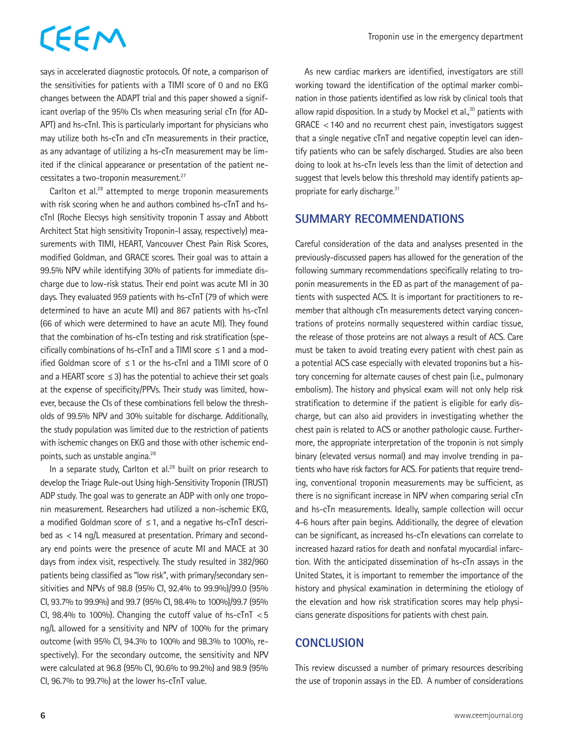says in accelerated diagnostic protocols. Of note, a comparison of the sensitivities for patients with a TIMI score of 0 and no EKG changes between the ADAPT trial and this paper showed a significant overlap of the 95% CIs when measuring serial cTn (for AD-APT) and hs-cTnI. This is particularly important for physicians who may utilize both hs-cTn and cTn measurements in their practice, as any advantage of utilizing a hs-cTn measurement may be limited if the clinical appearance or presentation of the patient necessitates a two-troponin measurement.<sup>27</sup>

Carlton et al.<sup>28</sup> attempted to merge troponin measurements with risk scoring when he and authors combined hs-cTnT and hscTnI (Roche Elecsys high sensitivity troponin T assay and Abbott Architect Stat high sensitivity Troponin-I assay, respectively) measurements with TIMI, HEART, Vancouver Chest Pain Risk Scores, modified Goldman, and GRACE scores. Their goal was to attain a 99.5% NPV while identifying 30% of patients for immediate discharge due to low-risk status. Their end point was acute MI in 30 days. They evaluated 959 patients with hs-cTnT (79 of which were determined to have an acute MI) and 867 patients with hs-cTnI (66 of which were determined to have an acute MI). They found that the combination of hs-cTn testing and risk stratification (specifically combinations of hs-cTnT and a TIMI score  $\leq 1$  and a modified Goldman score of ≤1 or the hs-cTnI and a TIMI score of 0 and a HEART score  $\leq$  3) has the potential to achieve their set goals at the expense of specificity/PPVs. Their study was limited, however, because the CIs of these combinations fell below the thresholds of 99.5% NPV and 30% suitable for discharge. Additionally, the study population was limited due to the restriction of patients with ischemic changes on EKG and those with other ischemic endpoints, such as unstable angina.28

In a separate study, Carlton et al.<sup>29</sup> built on prior research to develop the Triage Rule-out Using high-Sensitivity Troponin (TRUST) ADP study. The goal was to generate an ADP with only one troponin measurement. Researchers had utilized a non-ischemic EKG, a modified Goldman score of  $\leq$  1, and a negative hs-cTnT described as <14 ng/L measured at presentation. Primary and secondary end points were the presence of acute MI and MACE at 30 days from index visit, respectively. The study resulted in 382/960 patients being classified as "low risk", with primary/secondary sensitivities and NPVs of 98.8 (95% CI, 92.4% to 99.9%)/99.0 (95% CI, 93.7% to 99.9%) and 99.7 (95% CI, 98.4% to 100%)/99.7 (95% Cl, 98.4% to 100%). Changing the cutoff value of  $hs\text{-}cTnT < 5$ ng/L allowed for a sensitivity and NPV of 100% for the primary outcome (with 95% CI, 94.3% to 100% and 98.3% to 100%, respectively). For the secondary outcome, the sensitivity and NPV were calculated at 96.8 (95% CI, 90.6% to 99.2%) and 98.9 (95% CI, 96.7% to 99.7%) at the lower hs-cTnT value.

As new cardiac markers are identified, investigators are still working toward the identification of the optimal marker combination in those patients identified as low risk by clinical tools that allow rapid disposition. In a study by Mockel et al. $30$  patients with GRACE <140 and no recurrent chest pain, investigators suggest that a single negative cTnT and negative copeptin level can identify patients who can be safely discharged. Studies are also been doing to look at hs-cTn levels less than the limit of detection and suggest that levels below this threshold may identify patients appropriate for early discharge.<sup>31</sup>

#### **SUMMARY RECOMMENDATIONS**

Careful consideration of the data and analyses presented in the previously-discussed papers has allowed for the generation of the following summary recommendations specifically relating to troponin measurements in the ED as part of the management of patients with suspected ACS. It is important for practitioners to remember that although cTn measurements detect varying concentrations of proteins normally sequestered within cardiac tissue, the release of those proteins are not always a result of ACS. Care must be taken to avoid treating every patient with chest pain as a potential ACS case especially with elevated troponins but a history concerning for alternate causes of chest pain (i.e., pulmonary embolism). The history and physical exam will not only help risk stratification to determine if the patient is eligible for early discharge, but can also aid providers in investigating whether the chest pain is related to ACS or another pathologic cause. Furthermore, the appropriate interpretation of the troponin is not simply binary (elevated versus normal) and may involve trending in patients who have risk factors for ACS. For patients that require trending, conventional troponin measurements may be sufficient, as there is no significant increase in NPV when comparing serial cTn and hs-cTn measurements. Ideally, sample collection will occur 4-6 hours after pain begins. Additionally, the degree of elevation can be significant, as increased hs-cTn elevations can correlate to increased hazard ratios for death and nonfatal myocardial infarction. With the anticipated dissemination of hs-cTn assays in the United States, it is important to remember the importance of the history and physical examination in determining the etiology of the elevation and how risk stratification scores may help physicians generate dispositions for patients with chest pain.

#### **CONCLUSION**

This review discussed a number of primary resources describing the use of troponin assays in the ED. A number of considerations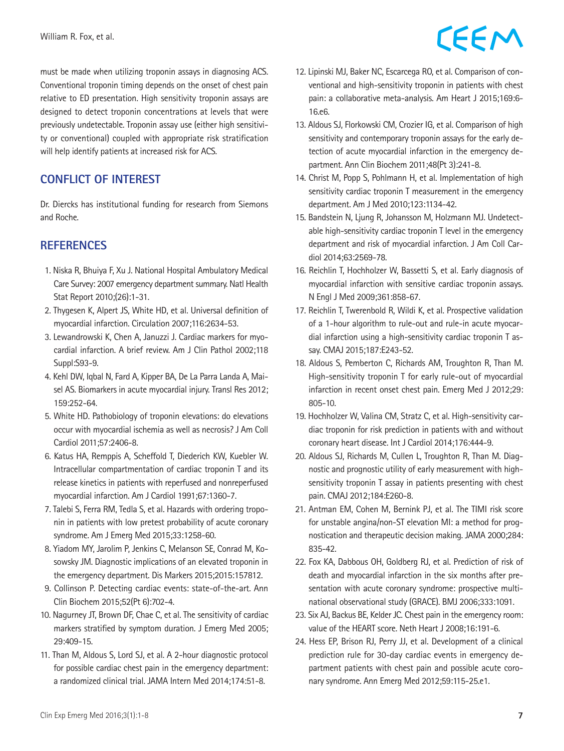must be made when utilizing troponin assays in diagnosing ACS. Conventional troponin timing depends on the onset of chest pain relative to ED presentation. High sensitivity troponin assays are designed to detect troponin concentrations at levels that were previously undetectable. Troponin assay use (either high sensitivity or conventional) coupled with appropriate risk stratification will help identify patients at increased risk for ACS.

#### **CONFLICT OF INTEREST**

Dr. Diercks has institutional funding for research from Siemons and Roche.

#### **REFERENCES**

- 1. Niska R, Bhuiya F, Xu J. National Hospital Ambulatory Medical Care Survey: 2007 emergency department summary. Natl Health Stat Report 2010;(26):1-31.
- 2. Thygesen K, Alpert JS, White HD, et al. Universal definition of myocardial infarction. Circulation 2007;116:2634-53.
- 3. Lewandrowski K, Chen A, Januzzi J. Cardiac markers for myocardial infarction. A brief review. Am J Clin Pathol 2002;118 Suppl:S93-9.
- 4. Kehl DW, Iqbal N, Fard A, Kipper BA, De La Parra Landa A, Maisel AS. Biomarkers in acute myocardial injury. Transl Res 2012; 159:252-64.
- 5. White HD. Pathobiology of troponin elevations: do elevations occur with myocardial ischemia as well as necrosis? J Am Coll Cardiol 2011;57:2406-8.
- 6. Katus HA, Remppis A, Scheffold T, Diederich KW, Kuebler W. Intracellular compartmentation of cardiac troponin T and its release kinetics in patients with reperfused and nonreperfused myocardial infarction. Am J Cardiol 1991;67:1360-7.
- 7. Talebi S, Ferra RM, Tedla S, et al. Hazards with ordering troponin in patients with low pretest probability of acute coronary syndrome. Am J Emerg Med 2015;33:1258-60.
- 8. Yiadom MY, Jarolim P, Jenkins C, Melanson SE, Conrad M, Kosowsky JM. Diagnostic implications of an elevated troponin in the emergency department. Dis Markers 2015;2015:157812.
- 9. Collinson P. Detecting cardiac events: state-of-the-art. Ann Clin Biochem 2015;52(Pt 6):702-4.
- 10. Nagurney JT, Brown DF, Chae C, et al. The sensitivity of cardiac markers stratified by symptom duration. J Emerg Med 2005; 29:409-15.
- 11. Than M, Aldous S, Lord SJ, et al. A 2-hour diagnostic protocol for possible cardiac chest pain in the emergency department: a randomized clinical trial. JAMA Intern Med 2014;174:51-8.

## CEEM

- 12. Lipinski MJ, Baker NC, Escarcega RO, et al. Comparison of conventional and high-sensitivity troponin in patients with chest pain: a collaborative meta-analysis. Am Heart J 2015;169:6- 16.e6.
- 13. Aldous SJ, Florkowski CM, Crozier IG, et al. Comparison of high sensitivity and contemporary troponin assays for the early detection of acute myocardial infarction in the emergency department. Ann Clin Biochem 2011;48(Pt 3):241-8.
- 14. Christ M, Popp S, Pohlmann H, et al. Implementation of high sensitivity cardiac troponin T measurement in the emergency department. Am J Med 2010;123:1134-42.
- 15. Bandstein N, Ljung R, Johansson M, Holzmann MJ. Undetectable high-sensitivity cardiac troponin T level in the emergency department and risk of myocardial infarction. J Am Coll Cardiol 2014;63:2569-78.
- 16. Reichlin T, Hochholzer W, Bassetti S, et al. Early diagnosis of myocardial infarction with sensitive cardiac troponin assays. N Engl J Med 2009;361:858-67.
- 17. Reichlin T, Twerenbold R, Wildi K, et al. Prospective validation of a 1-hour algorithm to rule-out and rule-in acute myocardial infarction using a high-sensitivity cardiac troponin T assay. CMAJ 2015;187:E243-52.
- 18. Aldous S, Pemberton C, Richards AM, Troughton R, Than M. High-sensitivity troponin T for early rule-out of myocardial infarction in recent onset chest pain. Emerg Med J 2012;29: 805-10.
- 19. Hochholzer W, Valina CM, Stratz C, et al. High-sensitivity cardiac troponin for risk prediction in patients with and without coronary heart disease. Int J Cardiol 2014;176:444-9.
- 20. Aldous SJ, Richards M, Cullen L, Troughton R, Than M. Diagnostic and prognostic utility of early measurement with highsensitivity troponin T assay in patients presenting with chest pain. CMAJ 2012;184:E260-8.
- 21. Antman EM, Cohen M, Bernink PJ, et al. The TIMI risk score for unstable angina/non-ST elevation MI: a method for prognostication and therapeutic decision making. JAMA 2000;284: 835-42.
- 22. Fox KA, Dabbous OH, Goldberg RJ, et al. Prediction of risk of death and myocardial infarction in the six months after presentation with acute coronary syndrome: prospective multinational observational study (GRACE). BMJ 2006;333:1091.
- 23. Six AJ, Backus BE, Kelder JC. Chest pain in the emergency room: value of the HEART score. Neth Heart J 2008;16:191-6.
- 24. Hess EP, Brison RJ, Perry JJ, et al. Development of a clinical prediction rule for 30-day cardiac events in emergency department patients with chest pain and possible acute coronary syndrome. Ann Emerg Med 2012;59:115-25.e1.